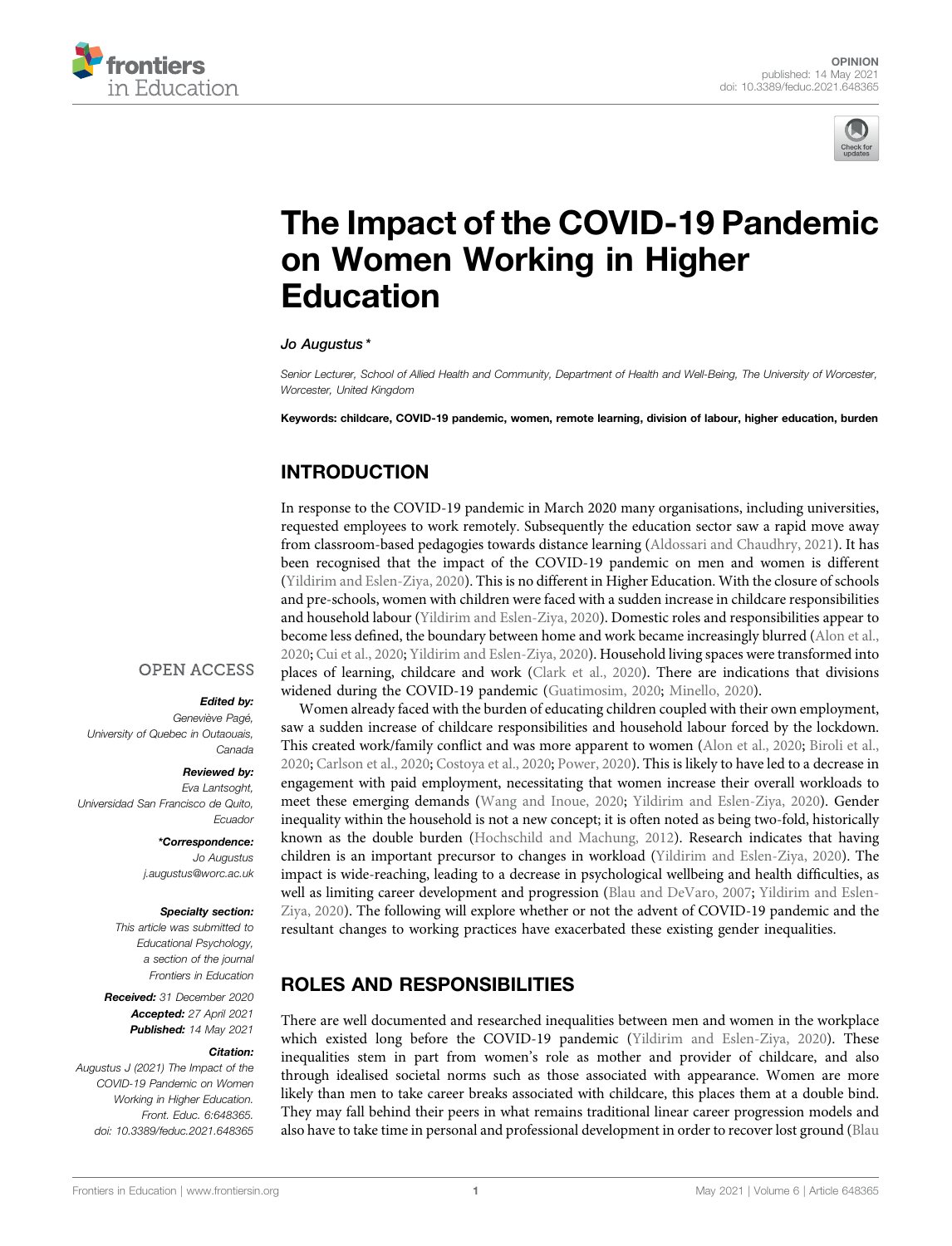



# [The Impact of the COVID-19 Pandemic](https://www.frontiersin.org/articles/10.3389/feduc.2021.648365/full) [on Women Working in Higher](https://www.frontiersin.org/articles/10.3389/feduc.2021.648365/full) [Education](https://www.frontiersin.org/articles/10.3389/feduc.2021.648365/full)

# Jo Augustus \*

Senior Lecturer, School of Allied Health and Community, Department of Health and Well-Being, The University of Worcester, Worcester, United Kingdom

Keywords: childcare, COVID-19 pandemic, women, remote learning, division of labour, higher education, burden

# INTRODUCTION

In response to the COVID-19 pandemic in March 2020 many organisations, including universities, requested employees to work remotely. Subsequently the education sector saw a rapid move away from classroom-based pedagogies towards distance learning ([Aldossari and Chaudhry, 2021](#page-3-0)). It has been recognised that the impact of the COVID-19 pandemic on men and women is different ([Yildirim and Eslen-Ziya, 2020\)](#page-3-1). This is no different in Higher Education. With the closure of schools and pre-schools, women with children were faced with a sudden increase in childcare responsibilities and household labour ([Yildirim and Eslen-Ziya, 2020](#page-3-1)). Domestic roles and responsibilities appear to become less defined, the boundary between home and work became increasingly blurred ([Alon et al.,](#page-3-2) [2020;](#page-3-2) [Cui et al., 2020](#page-3-3); [Yildirim and Eslen-Ziya, 2020\)](#page-3-1). Household living spaces were transformed into places of learning, childcare and work [\(Clark et al., 2020](#page-3-4)). There are indications that divisions widened during the COVID-19 pandemic ([Guatimosim, 2020](#page-3-5); [Minello, 2020](#page-3-6)).

**OPEN ACCESS** 

#### Edited by:

Geneviève Pagé, University of Quebec in Outaouais, Canada

Reviewed by:

Eva Lantsoght, Universidad San Francisco de Quito, Ecuador

> \*Correspondence: Jo Augustus [j.augustus@worc.ac.uk](mailto:j.augustus@worc.ac.uk)

### Specialty section:

This article was submitted to Educational Psychology, a section of the journal Frontiers in Education

Received: 31 December 2020 Accepted: 27 April 2021 Published: 14 May 2021

#### Citation:

Augustus J (2021) The Impact of the COVID-19 Pandemic on Women Working in Higher Education. Front. Educ. 6:648365. doi: [10.3389/feduc.2021.648365](https://doi.org/10.3389/feduc.2021.648365)

Women already faced with the burden of educating children coupled with their own employment, saw a sudden increase of childcare responsibilities and household labour forced by the lockdown. This created work/family conflict and was more apparent to women ([Alon et al., 2020;](#page-3-2) [Biroli et al.,](#page-3-7) [2020;](#page-3-7) [Carlson et al., 2020;](#page-3-8) [Costoya et al., 2020;](#page-3-9) [Power, 2020\)](#page-3-10). This is likely to have led to a decrease in engagement with paid employment, necessitating that women increase their overall workloads to meet these emerging demands [\(Wang and Inoue, 2020](#page-3-11); [Yildirim and Eslen-Ziya, 2020\)](#page-3-1). Gender inequality within the household is not a new concept; it is often noted as being two-fold, historically known as the double burden ([Hochschild and Machung, 2012\)](#page-3-12). Research indicates that having children is an important precursor to changes in workload [\(Yildirim and Eslen-Ziya, 2020\)](#page-3-1). The impact is wide-reaching, leading to a decrease in psychological wellbeing and health difficulties, as well as limiting career development and progression ([Blau and DeVaro, 2007](#page-3-13); [Yildirim and Eslen-](#page-3-1)[Ziya, 2020](#page-3-1)). The following will explore whether or not the advent of COVID-19 pandemic and the resultant changes to working practices have exacerbated these existing gender inequalities.

# ROLES AND RESPONSIBILITIES

There are well documented and researched inequalities between men and women in the workplace which existed long before the COVID-19 pandemic [\(Yildirim and Eslen-Ziya, 2020](#page-3-1)). These inequalities stem in part from women's role as mother and provider of childcare, and also through idealised societal norms such as those associated with appearance. Women are more likely than men to take career breaks associated with childcare, this places them at a double bind. They may fall behind their peers in what remains traditional linear career progression models and also have to take time in personal and professional development in order to recover lost ground ([Blau](#page-3-13)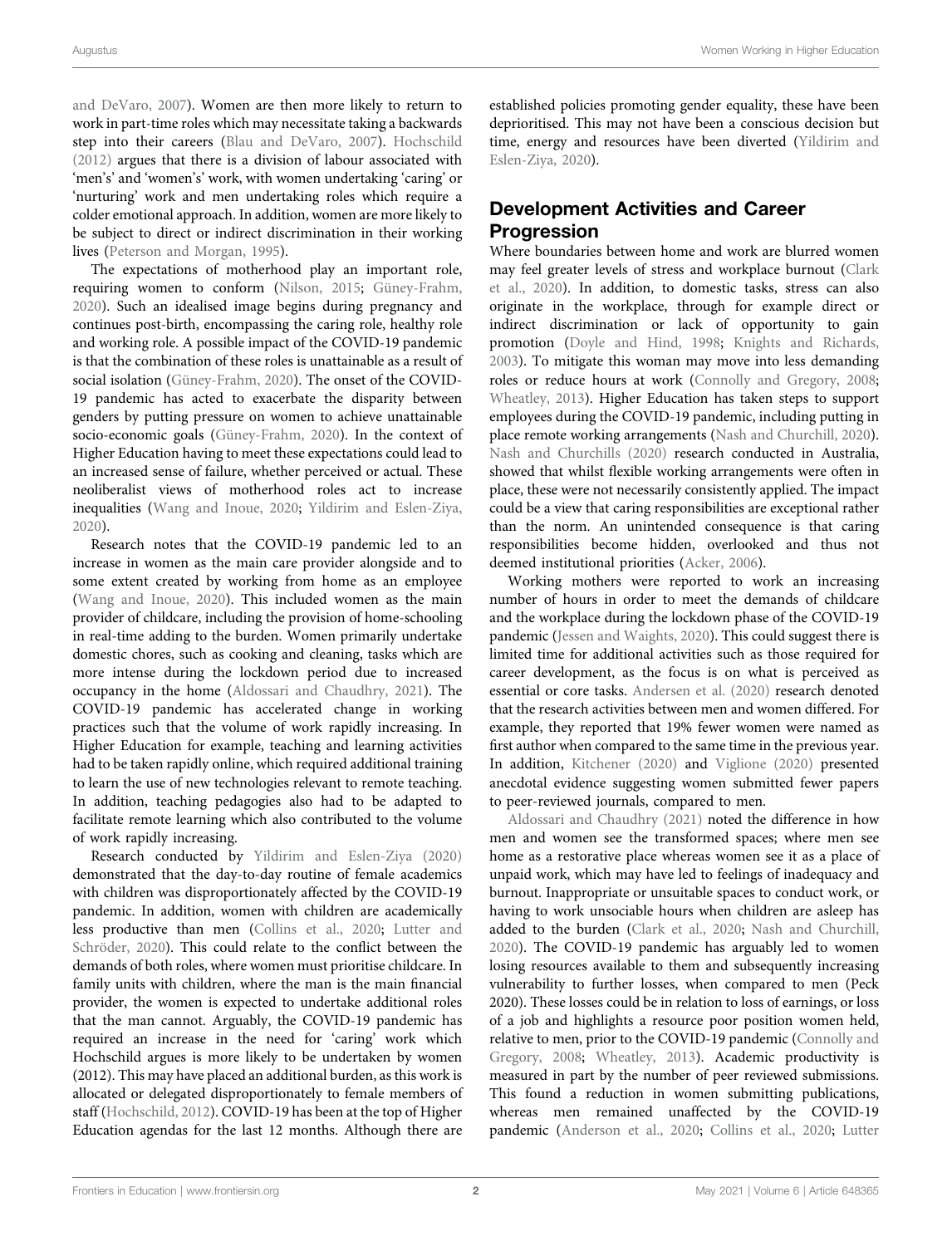[and DeVaro, 2007\)](#page-3-13). Women are then more likely to return to work in part-time roles which may necessitate taking a backwards step into their careers [\(Blau and DeVaro, 2007](#page-3-13)). [Hochschild](#page-3-14) [\(2012\)](#page-3-14) argues that there is a division of labour associated with 'men's' and 'women's' work, with women undertaking 'caring' or 'nurturing' work and men undertaking roles which require a colder emotional approach. In addition, women are more likely to be subject to direct or indirect discrimination in their working lives [\(Peterson and Morgan, 1995](#page-3-15)).

The expectations of motherhood play an important role, requiring women to conform ([Nilson, 2015;](#page-3-16) [Güney-Frahm,](#page-3-17) [2020](#page-3-17)). Such an idealised image begins during pregnancy and continues post-birth, encompassing the caring role, healthy role and working role. A possible impact of the COVID-19 pandemic is that the combination of these roles is unattainable as a result of social isolation [\(Güney-Frahm, 2020\)](#page-3-17). The onset of the COVID-19 pandemic has acted to exacerbate the disparity between genders by putting pressure on women to achieve unattainable socio-economic goals ([Güney-Frahm, 2020\)](#page-3-17). In the context of Higher Education having to meet these expectations could lead to an increased sense of failure, whether perceived or actual. These neoliberalist views of motherhood roles act to increase inequalities ([Wang and Inoue, 2020;](#page-3-11) [Yildirim and Eslen-Ziya,](#page-3-1) [2020](#page-3-1)).

Research notes that the COVID-19 pandemic led to an increase in women as the main care provider alongside and to some extent created by working from home as an employee ([Wang and Inoue, 2020\)](#page-3-11). This included women as the main provider of childcare, including the provision of home-schooling in real-time adding to the burden. Women primarily undertake domestic chores, such as cooking and cleaning, tasks which are more intense during the lockdown period due to increased occupancy in the home [\(Aldossari and Chaudhry, 2021](#page-3-0)). The COVID-19 pandemic has accelerated change in working practices such that the volume of work rapidly increasing. In Higher Education for example, teaching and learning activities had to be taken rapidly online, which required additional training to learn the use of new technologies relevant to remote teaching. In addition, teaching pedagogies also had to be adapted to facilitate remote learning which also contributed to the volume of work rapidly increasing.

Research conducted by [Yildirim and Eslen-Ziya \(2020\)](#page-3-1) demonstrated that the day-to-day routine of female academics with children was disproportionately affected by the COVID-19 pandemic. In addition, women with children are academically less productive than men [\(Collins et al., 2020](#page-3-18); [Lutter and](#page-3-19) [Schröder, 2020](#page-3-19)). This could relate to the conflict between the demands of both roles, where women must prioritise childcare. In family units with children, where the man is the main financial provider, the women is expected to undertake additional roles that the man cannot. Arguably, the COVID-19 pandemic has required an increase in the need for 'caring' work which Hochschild argues is more likely to be undertaken by women (2012). This may have placed an additional burden, as this work is allocated or delegated disproportionately to female members of staff [\(Hochschild, 2012](#page-3-14)). COVID-19 has been at the top of Higher Education agendas for the last 12 months. Although there are

established policies promoting gender equality, these have been deprioritised. This may not have been a conscious decision but time, energy and resources have been diverted ([Yildirim and](#page-3-1) [Eslen-Ziya, 2020\)](#page-3-1).

## Development Activities and Career Progression

Where boundaries between home and work are blurred women may feel greater levels of stress and workplace burnout [\(Clark](#page-3-4) [et al., 2020\)](#page-3-4). In addition, to domestic tasks, stress can also originate in the workplace, through for example direct or indirect discrimination or lack of opportunity to gain promotion [\(Doyle and Hind, 1998;](#page-3-20) [Knights and Richards,](#page-3-21) [2003](#page-3-21)). To mitigate this woman may move into less demanding roles or reduce hours at work [\(Connolly and Gregory, 2008;](#page-3-22) [Wheatley, 2013\)](#page-3-23). Higher Education has taken steps to support employees during the COVID-19 pandemic, including putting in place remote working arrangements ([Nash and Churchill, 2020\)](#page-3-24). [Nash and Churchills \(2020\)](#page-3-24) research conducted in Australia, showed that whilst flexible working arrangements were often in place, these were not necessarily consistently applied. The impact could be a view that caring responsibilities are exceptional rather than the norm. An unintended consequence is that caring responsibilities become hidden, overlooked and thus not deemed institutional priorities [\(Acker, 2006](#page-3-25)).

Working mothers were reported to work an increasing number of hours in order to meet the demands of childcare and the workplace during the lockdown phase of the COVID-19 pandemic ([Jessen and Waights, 2020\)](#page-3-26). This could suggest there is limited time for additional activities such as those required for career development, as the focus is on what is perceived as essential or core tasks. [Andersen et al. \(2020\)](#page-3-27) research denoted that the research activities between men and women differed. For example, they reported that 19% fewer women were named as first author when compared to the same time in the previous year. In addition, [Kitchener \(2020\)](#page-3-28) and [Viglione \(2020\)](#page-3-29) presented anecdotal evidence suggesting women submitted fewer papers to peer-reviewed journals, compared to men.

[Aldossari and Chaudhry \(2021\)](#page-3-0) noted the difference in how men and women see the transformed spaces; where men see home as a restorative place whereas women see it as a place of unpaid work, which may have led to feelings of inadequacy and burnout. Inappropriate or unsuitable spaces to conduct work, or having to work unsociable hours when children are asleep has added to the burden [\(Clark et al., 2020;](#page-3-4) [Nash and Churchill,](#page-3-24) [2020](#page-3-24)). The COVID-19 pandemic has arguably led to women losing resources available to them and subsequently increasing vulnerability to further losses, when compared to men (Peck 2020). These losses could be in relation to loss of earnings, or loss of a job and highlights a resource poor position women held, relative to men, prior to the COVID-19 pandemic ([Connolly and](#page-3-22) [Gregory, 2008;](#page-3-22) [Wheatley, 2013](#page-3-23)). Academic productivity is measured in part by the number of peer reviewed submissions. This found a reduction in women submitting publications, whereas men remained unaffected by the COVID-19 pandemic [\(Anderson et al., 2020;](#page-3-27) [Collins et al., 2020](#page-3-18); [Lutter](#page-3-19)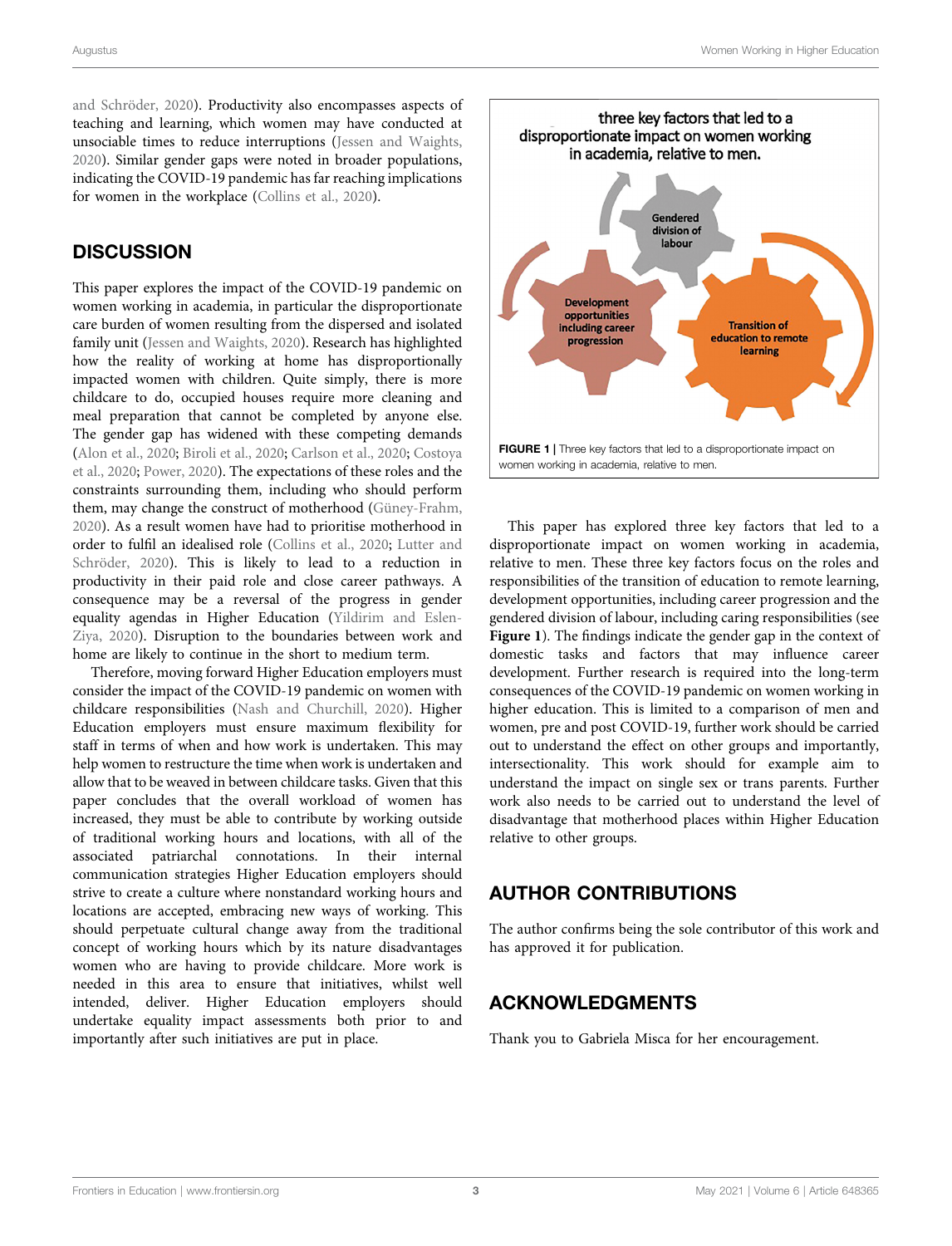[and Schröder, 2020](#page-3-19)). Productivity also encompasses aspects of teaching and learning, which women may have conducted at unsociable times to reduce interruptions ([Jessen and Waights,](#page-3-26) [2020](#page-3-26)). Similar gender gaps were noted in broader populations, indicating the COVID-19 pandemic has far reaching implications for women in the workplace [\(Collins et al., 2020\)](#page-3-18).

### **DISCUSSION**

This paper explores the impact of the COVID-19 pandemic on women working in academia, in particular the disproportionate care burden of women resulting from the dispersed and isolated family unit [\(Jessen and Waights, 2020\)](#page-3-26). Research has highlighted how the reality of working at home has disproportionally impacted women with children. Quite simply, there is more childcare to do, occupied houses require more cleaning and meal preparation that cannot be completed by anyone else. The gender gap has widened with these competing demands ([Alon et al., 2020;](#page-3-2) [Biroli et al., 2020;](#page-3-7) [Carlson et al., 2020](#page-3-8); [Costoya](#page-3-9) [et al., 2020](#page-3-9); [Power, 2020\)](#page-3-10). The expectations of these roles and the constraints surrounding them, including who should perform them, may change the construct of motherhood [\(Güney-Frahm,](#page-3-17) [2020](#page-3-17)). As a result women have had to prioritise motherhood in order to fulfil an idealised role ([Collins et al., 2020](#page-3-18); [Lutter and](#page-3-19) [Schröder, 2020\)](#page-3-19). This is likely to lead to a reduction in productivity in their paid role and close career pathways. A consequence may be a reversal of the progress in gender equality agendas in Higher Education ([Yildirim and Eslen-](#page-3-1)[Ziya, 2020](#page-3-1)). Disruption to the boundaries between work and home are likely to continue in the short to medium term.

Therefore, moving forward Higher Education employers must consider the impact of the COVID-19 pandemic on women with childcare responsibilities ([Nash and Churchill, 2020\)](#page-3-24). Higher Education employers must ensure maximum flexibility for staff in terms of when and how work is undertaken. This may help women to restructure the time when work is undertaken and allow that to be weaved in between childcare tasks. Given that this paper concludes that the overall workload of women has increased, they must be able to contribute by working outside of traditional working hours and locations, with all of the associated patriarchal connotations. In their internal communication strategies Higher Education employers should strive to create a culture where nonstandard working hours and locations are accepted, embracing new ways of working. This should perpetuate cultural change away from the traditional concept of working hours which by its nature disadvantages women who are having to provide childcare. More work is needed in this area to ensure that initiatives, whilst well intended, deliver. Higher Education employers should undertake equality impact assessments both prior to and importantly after such initiatives are put in place.



<span id="page-2-0"></span>This paper has explored three key factors that led to a disproportionate impact on women working in academia, relative to men. These three key factors focus on the roles and responsibilities of the transition of education to remote learning, development opportunities, including career progression and the gendered division of labour, including caring responsibilities (see [Figure 1](#page-2-0)). The findings indicate the gender gap in the context of domestic tasks and factors that may influence career development. Further research is required into the long-term consequences of the COVID-19 pandemic on women working in higher education. This is limited to a comparison of men and women, pre and post COVID-19, further work should be carried out to understand the effect on other groups and importantly, intersectionality. This work should for example aim to understand the impact on single sex or trans parents. Further work also needs to be carried out to understand the level of disadvantage that motherhood places within Higher Education relative to other groups.

# AUTHOR CONTRIBUTIONS

The author confirms being the sole contributor of this work and has approved it for publication.

### ACKNOWLEDGMENTS

Thank you to Gabriela Misca for her encouragement.